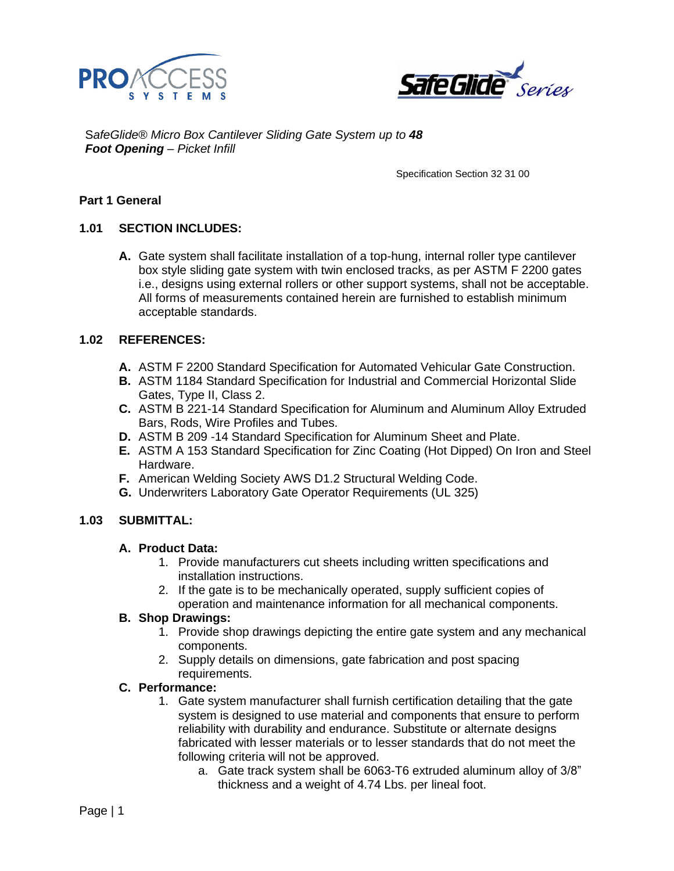



S*afeGlide® Micro Box Cantilever Sliding Gate System up to 48 Foot Opening – Picket Infill*

Specification Section 32 31 00

## **Part 1 General**

## **1.01 SECTION INCLUDES:**

**A.** Gate system shall facilitate installation of a top-hung, internal roller type cantilever box style sliding gate system with twin enclosed tracks, as per ASTM F 2200 gates i.e., designs using external rollers or other support systems, shall not be acceptable. All forms of measurements contained herein are furnished to establish minimum acceptable standards.

### **1.02 REFERENCES:**

- **A.** ASTM F 2200 Standard Specification for Automated Vehicular Gate Construction.
- **B.** ASTM 1184 Standard Specification for Industrial and Commercial Horizontal Slide Gates, Type II, Class 2.
- **C.** ASTM B 221-14 Standard Specification for Aluminum and Aluminum Alloy Extruded Bars, Rods, Wire Profiles and Tubes.
- **D.** ASTM B 209 -14 Standard Specification for Aluminum Sheet and Plate.
- **E.** ASTM A 153 Standard Specification for Zinc Coating (Hot Dipped) On Iron and Steel Hardware.
- **F.** American Welding Society AWS D1.2 Structural Welding Code.
- **G.** Underwriters Laboratory Gate Operator Requirements (UL 325)

### **1.03 SUBMITTAL:**

### **A. Product Data:**

- 1. Provide manufacturers cut sheets including written specifications and installation instructions.
- 2. If the gate is to be mechanically operated, supply sufficient copies of operation and maintenance information for all mechanical components.

### **B. Shop Drawings:**

- 1. Provide shop drawings depicting the entire gate system and any mechanical components.
- 2. Supply details on dimensions, gate fabrication and post spacing requirements.

### **C. Performance:**

- 1. Gate system manufacturer shall furnish certification detailing that the gate system is designed to use material and components that ensure to perform reliability with durability and endurance. Substitute or alternate designs fabricated with lesser materials or to lesser standards that do not meet the following criteria will not be approved.
	- a. Gate track system shall be 6063-T6 extruded aluminum alloy of 3/8" thickness and a weight of 4.74 Lbs. per lineal foot.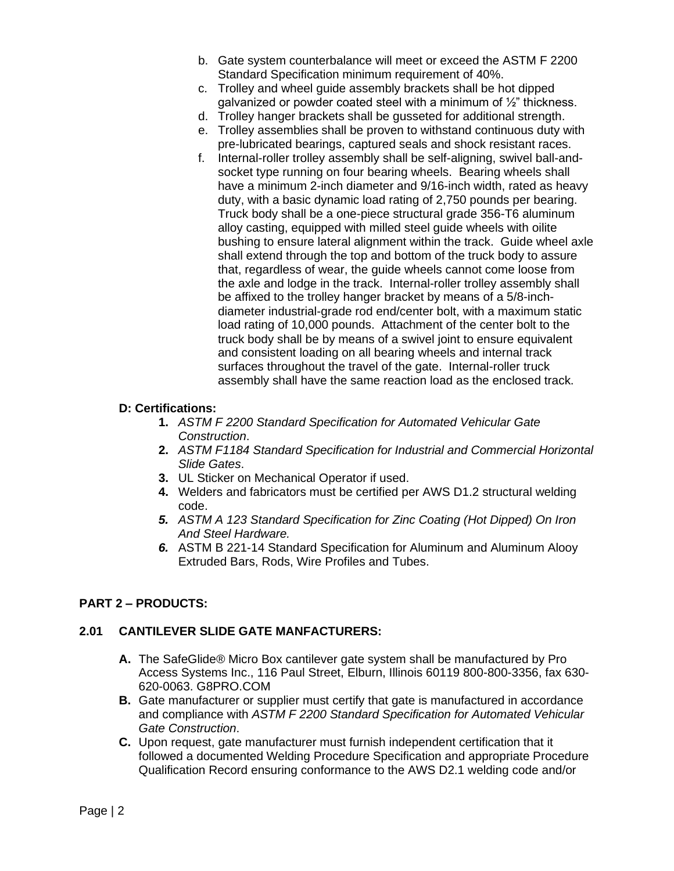- b. Gate system counterbalance will meet or exceed the ASTM F 2200 Standard Specification minimum requirement of 40%.
- c. Trolley and wheel guide assembly brackets shall be hot dipped galvanized or powder coated steel with a minimum of  $\frac{1}{2}$ " thickness.
- d. Trolley hanger brackets shall be gusseted for additional strength.
- e. Trolley assemblies shall be proven to withstand continuous duty with pre-lubricated bearings, captured seals and shock resistant races.
- f. Internal-roller trolley assembly shall be self-aligning, swivel ball-andsocket type running on four bearing wheels. Bearing wheels shall have a minimum 2-inch diameter and 9/16-inch width, rated as heavy duty, with a basic dynamic load rating of 2,750 pounds per bearing. Truck body shall be a one-piece structural grade 356-T6 aluminum alloy casting, equipped with milled steel guide wheels with oilite bushing to ensure lateral alignment within the track. Guide wheel axle shall extend through the top and bottom of the truck body to assure that, regardless of wear, the guide wheels cannot come loose from the axle and lodge in the track. Internal-roller trolley assembly shall be affixed to the trolley hanger bracket by means of a 5/8-inchdiameter industrial-grade rod end/center bolt, with a maximum static load rating of 10,000 pounds. Attachment of the center bolt to the truck body shall be by means of a swivel joint to ensure equivalent and consistent loading on all bearing wheels and internal track surfaces throughout the travel of the gate. Internal-roller truck assembly shall have the same reaction load as the enclosed track.

### **D: Certifications:**

- **1.** *ASTM F 2200 Standard Specification for Automated Vehicular Gate Construction*.
- **2.** *ASTM F1184 Standard Specification for Industrial and Commercial Horizontal Slide Gates*.
- **3.** UL Sticker on Mechanical Operator if used.
- **4.** Welders and fabricators must be certified per AWS D1.2 structural welding code.
- *5. ASTM A 123 Standard Specification for Zinc Coating (Hot Dipped) On Iron And Steel Hardware.*
- *6.* ASTM B 221-14 Standard Specification for Aluminum and Aluminum Alooy Extruded Bars, Rods, Wire Profiles and Tubes.

# **PART 2 – PRODUCTS:**

### **2.01 CANTILEVER SLIDE GATE MANFACTURERS:**

- **A.** The SafeGlide*®* Micro Box cantilever gate system shall be manufactured by Pro Access Systems Inc., 116 Paul Street, Elburn, Illinois 60119 800-800-3356, fax 630- 620-0063. G8PRO.COM
- **B.** Gate manufacturer or supplier must certify that gate is manufactured in accordance and compliance with *ASTM F 2200 Standard Specification for Automated Vehicular Gate Construction*.
- **C.** Upon request, gate manufacturer must furnish independent certification that it followed a documented Welding Procedure Specification and appropriate Procedure Qualification Record ensuring conformance to the AWS D2.1 welding code and/or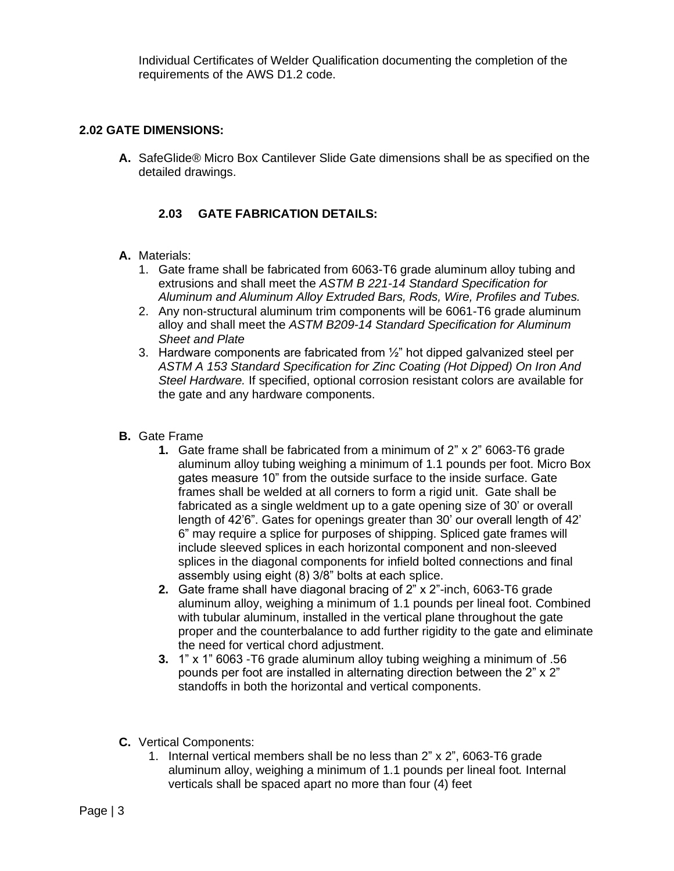Individual Certificates of Welder Qualification documenting the completion of the requirements of the AWS D1.2 code.

# **2.02 GATE DIMENSIONS:**

**A.** SafeGlide*®* Micro Box Cantilever Slide Gate dimensions shall be as specified on the detailed drawings.

# **2.03 GATE FABRICATION DETAILS:**

- **A.** Materials:
	- 1. Gate frame shall be fabricated from 6063-T6 grade aluminum alloy tubing and extrusions and shall meet the *ASTM B 221-14 Standard Specification for Aluminum and Aluminum Alloy Extruded Bars, Rods, Wire, Profiles and Tubes.*
	- 2. Any non-structural aluminum trim components will be 6061-T6 grade aluminum alloy and shall meet the *ASTM B209-14 Standard Specification for Aluminum Sheet and Plate*
	- 3. Hardware components are fabricated from  $\frac{1}{2}$ " hot dipped galvanized steel per *ASTM A 153 Standard Specification for Zinc Coating (Hot Dipped) On Iron And Steel Hardware.* If specified, optional corrosion resistant colors are available for the gate and any hardware components.
- **B.** Gate Frame
	- **1.** Gate frame shall be fabricated from a minimum of 2" x 2" 6063-T6 grade aluminum alloy tubing weighing a minimum of 1.1 pounds per foot. Micro Box gates measure 10" from the outside surface to the inside surface. Gate frames shall be welded at all corners to form a rigid unit. Gate shall be fabricated as a single weldment up to a gate opening size of 30' or overall length of 42'6". Gates for openings greater than 30' our overall length of 42' 6" may require a splice for purposes of shipping. Spliced gate frames will include sleeved splices in each horizontal component and non-sleeved splices in the diagonal components for infield bolted connections and final assembly using eight (8) 3/8" bolts at each splice.
	- **2.** Gate frame shall have diagonal bracing of 2" x 2"-inch, 6063-T6 grade aluminum alloy, weighing a minimum of 1.1 pounds per lineal foot. Combined with tubular aluminum, installed in the vertical plane throughout the gate proper and the counterbalance to add further rigidity to the gate and eliminate the need for vertical chord adjustment.
	- **3.** 1" x 1" 6063 -T6 grade aluminum alloy tubing weighing a minimum of .56 pounds per foot are installed in alternating direction between the 2" x 2" standoffs in both the horizontal and vertical components.
- **C.** Vertical Components:
	- 1. Internal vertical members shall be no less than 2" x 2", 6063-T6 grade aluminum alloy, weighing a minimum of 1.1 pounds per lineal foot*.* Internal verticals shall be spaced apart no more than four (4) feet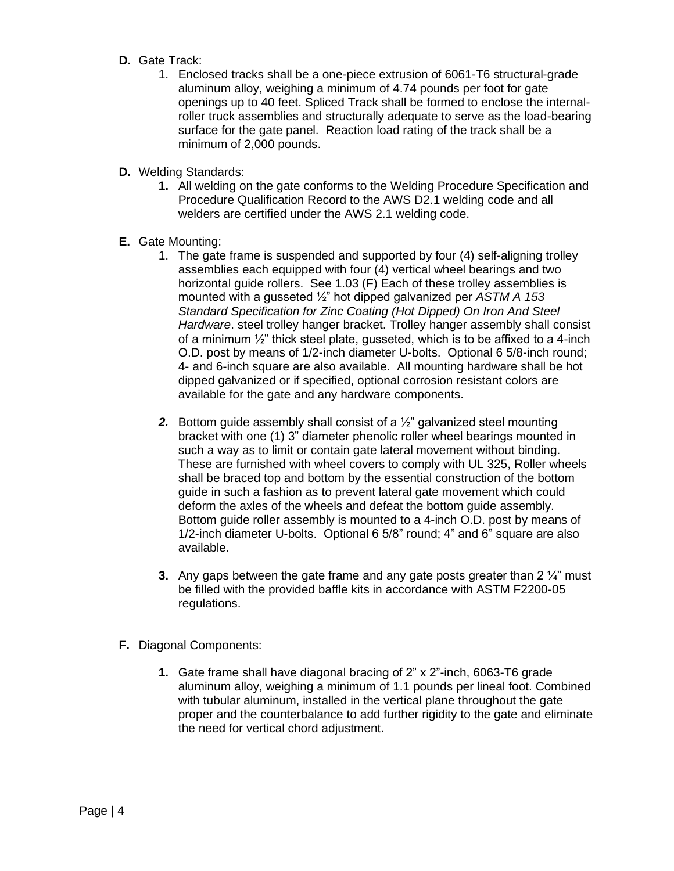- **D.** Gate Track:
	- 1. Enclosed tracks shall be a one-piece extrusion of 6061-T6 structural-grade aluminum alloy, weighing a minimum of 4.74 pounds per foot for gate openings up to 40 feet. Spliced Track shall be formed to enclose the internalroller truck assemblies and structurally adequate to serve as the load-bearing surface for the gate panel. Reaction load rating of the track shall be a minimum of 2,000 pounds.
- **D.** Welding Standards:
	- **1.** All welding on the gate conforms to the Welding Procedure Specification and Procedure Qualification Record to the AWS D2.1 welding code and all welders are certified under the AWS 2.1 welding code.
- **E.** Gate Mounting:
	- 1. The gate frame is suspended and supported by four (4) self-aligning trolley assemblies each equipped with four (4) vertical wheel bearings and two horizontal guide rollers. See 1.03 (F) Each of these trolley assemblies is mounted with a gusseted ½" hot dipped galvanized per *ASTM A 153 Standard Specification for Zinc Coating (Hot Dipped) On Iron And Steel Hardware*. steel trolley hanger bracket. Trolley hanger assembly shall consist of a minimum  $\frac{1}{2}$ " thick steel plate, gusseted, which is to be affixed to a 4-inch O.D. post by means of 1/2-inch diameter U-bolts. Optional 6 5/8-inch round; 4- and 6-inch square are also available. All mounting hardware shall be hot dipped galvanized or if specified, optional corrosion resistant colors are available for the gate and any hardware components.
	- *2.* Bottom guide assembly shall consist of a ½" galvanized steel mounting bracket with one (1) 3" diameter phenolic roller wheel bearings mounted in such a way as to limit or contain gate lateral movement without binding. These are furnished with wheel covers to comply with UL 325, Roller wheels shall be braced top and bottom by the essential construction of the bottom guide in such a fashion as to prevent lateral gate movement which could deform the axles of the wheels and defeat the bottom guide assembly. Bottom guide roller assembly is mounted to a 4-inch O.D. post by means of 1/2-inch diameter U-bolts. Optional 6 5/8" round; 4" and 6" square are also available.
	- **3.** Any gaps between the gate frame and any gate posts greater than 2  $\frac{1}{4}$ " must be filled with the provided baffle kits in accordance with ASTM F2200-05 regulations.
- **F.** Diagonal Components:
	- **1.** Gate frame shall have diagonal bracing of 2" x 2"-inch, 6063-T6 grade aluminum alloy, weighing a minimum of 1.1 pounds per lineal foot. Combined with tubular aluminum, installed in the vertical plane throughout the gate proper and the counterbalance to add further rigidity to the gate and eliminate the need for vertical chord adjustment.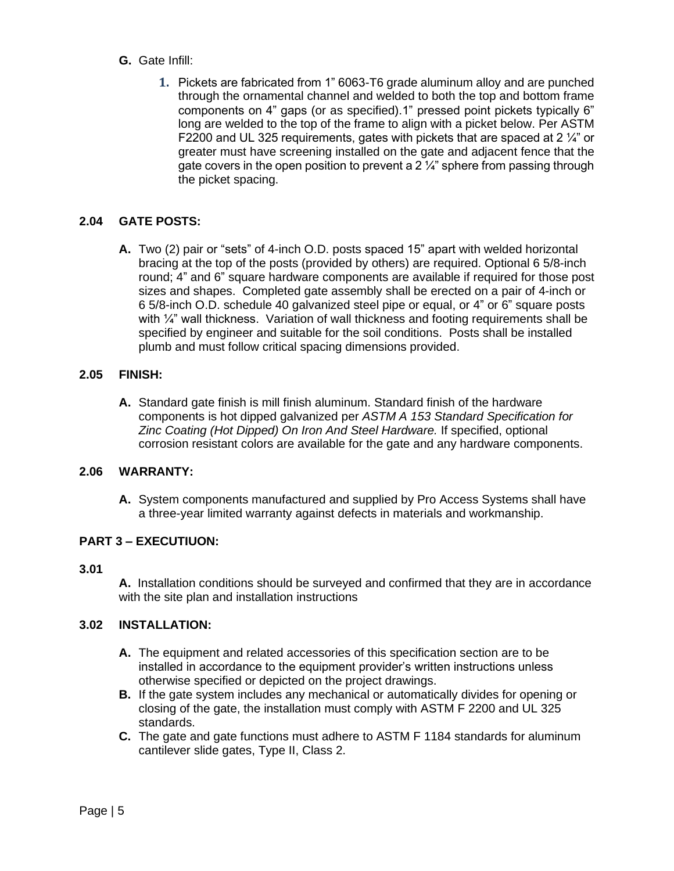- **G.** Gate Infill:
	- **1.** Pickets are fabricated from 1" 6063-T6 grade aluminum alloy and are punched through the ornamental channel and welded to both the top and bottom frame components on 4" gaps (or as specified).1" pressed point pickets typically 6" long are welded to the top of the frame to align with a picket below. Per ASTM F2200 and UL 325 requirements, gates with pickets that are spaced at 2 ¼" or greater must have screening installed on the gate and adjacent fence that the gate covers in the open position to prevent a  $2\frac{1}{4}$  sphere from passing through the picket spacing.

# **2.04 GATE POSTS:**

**A.** Two (2) pair or "sets" of 4-inch O.D. posts spaced 15" apart with welded horizontal bracing at the top of the posts (provided by others) are required. Optional 6 5/8-inch round; 4" and 6" square hardware components are available if required for those post sizes and shapes. Completed gate assembly shall be erected on a pair of 4-inch or 6 5/8-inch O.D. schedule 40 galvanized steel pipe or equal, or 4" or 6" square posts with  $\frac{1}{4}$ " wall thickness. Variation of wall thickness and footing requirements shall be specified by engineer and suitable for the soil conditions. Posts shall be installed plumb and must follow critical spacing dimensions provided.

## **2.05 FINISH:**

**A.** Standard gate finish is mill finish aluminum. Standard finish of the hardware components is hot dipped galvanized per *ASTM A 153 Standard Specification for Zinc Coating (Hot Dipped) On Iron And Steel Hardware.* If specified, optional corrosion resistant colors are available for the gate and any hardware components.

# **2.06 WARRANTY:**

**A.** System components manufactured and supplied by Pro Access Systems shall have a three-year limited warranty against defects in materials and workmanship.

# **PART 3 – EXECUTIUON:**

## **3.01**

**A.** Installation conditions should be surveyed and confirmed that they are in accordance with the site plan and installation instructions

# **3.02 INSTALLATION:**

- **A.** The equipment and related accessories of this specification section are to be installed in accordance to the equipment provider's written instructions unless otherwise specified or depicted on the project drawings.
- **B.** If the gate system includes any mechanical or automatically divides for opening or closing of the gate, the installation must comply with ASTM F 2200 and UL 325 standards.
- **C.** The gate and gate functions must adhere to ASTM F 1184 standards for aluminum cantilever slide gates, Type II, Class 2.